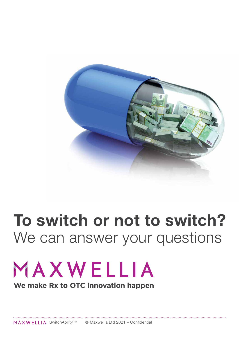

### **To switch or not to switch?** We can answer your questions

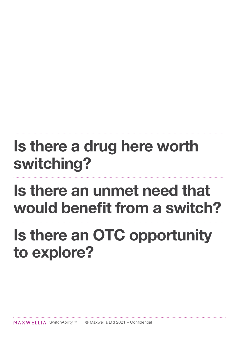## **Is there a drug here worth switching?**

## **Is there an unmet need that would benefit from a switch?**

## **Is there an OTC opportunity to explore?**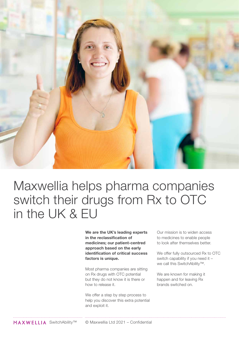

### Maxwellia helps pharma companies switch their drugs from Rx to OTC in the UK & EU

**We are the UK's leading experts in the reclassification of medicines; our patient-centred approach based on the early identification of critical success factors is unique.**

Most pharma companies are sitting on Rx drugs with OTC potential but they do not know it is there or how to release it.

We offer a step by step process to help you discover this extra potential and exploit it.

Our mission is to widen access to medicines to enable people to look after themselves better.

We offer fully outsourced Rx to OTC switch capability if you need it – we call this SwitchAbility™.

We are known for making it happen and for leaving Rx brands switched on.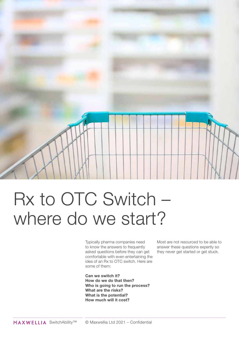

# Rx to OTC Switch – where do we start?

Typically pharma companies need to know the answers to frequently asked questions before they can get comfortable with even entertaining the idea of an Rx to OTC switch. Here are some of them:

**Can we switch it? How do we do that then? Who is going to run the process? What are the risks? What is the potential? How much will it cost?**

Most are not resourced to be able to answer these questions expertly so they never get started or get stuck.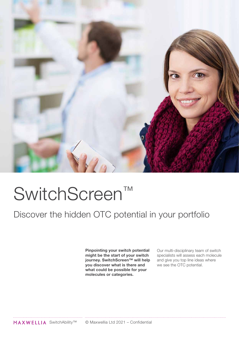

# SwitchScreen™

### Discover the hidden OTC potential in your portfolio

**Pinpointing your switch potential might be the start of your switch journey. SwitchScreen™ will help you discover what is there and what could be possible for your molecules or categories.**

Our multi-disciplinary team of switch specialists will assess each molecule and give you top line ideas where we see the OTC potential.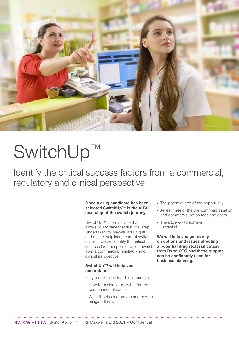

# SwitchUp™

Identify the critical success factors from a commercial, regulatory and clinical perspective

#### **Once a drug candidate has been selected SwitchUp™ is the VITAL next step of the switch journey.**

SwitchUp™ is our service that allows you to take that first vital step. Undertaken by Maxwellia's unique and multi-disciplinary team of switch experts, we will identify the critical success factors specific to your switch from a commercial, regulatory and clinical perspective.

#### **SwitchUp™ will help you understand:**

- If your switch is feasible in principle.
- How to design your switch for the best chance of success.
- What the risk factors are and how to mitigate them.
- The potential size of the opportunity.
- An estimate of the pre-commercialisation and commercialisation fees and costs.
- The pathway to achieve the switch.

**We will help you get clarity on options and issues affecting a potential drug reclassification from Rx to OTC and these outputs can be confidently used for business planning.**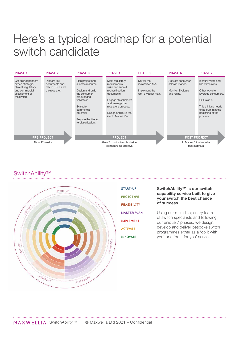### Here's a typical roadmap for a potential switch candidate



### SwitchAbility™



| <b>START-UP</b>    |
|--------------------|
| <b>PROTOTYPE</b>   |
| <b>FEASIBILITY</b> |
| <b>MASTER PLAN</b> |
| <b>IMPLEMENT</b>   |
| <b>ACTIVATE</b>    |
| <b>INNOVATE</b>    |

#### **SwitchAbility™ is our switch capability service built to give your switch the best chance of success.**

Using our multidisciplinary team of switch specialists and following our unique 7 phases, we design, develop and deliver bespoke switch programmes either as a 'do it with you' or a 'do it for you' service.